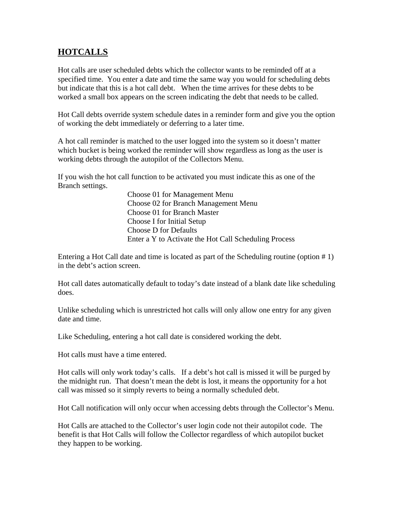## **HOTCALLS**

Hot calls are user scheduled debts which the collector wants to be reminded off at a specified time. You enter a date and time the same way you would for scheduling debts but indicate that this is a hot call debt. When the time arrives for these debts to be worked a small box appears on the screen indicating the debt that needs to be called.

Hot Call debts override system schedule dates in a reminder form and give you the option of working the debt immediately or deferring to a later time.

A hot call reminder is matched to the user logged into the system so it doesn't matter which bucket is being worked the reminder will show regardless as long as the user is working debts through the autopilot of the Collectors Menu.

If you wish the hot call function to be activated you must indicate this as one of the Branch settings.

> Choose 01 for Management Menu Choose 02 for Branch Management Menu Choose 01 for Branch Master Choose I for Initial Setup Choose D for Defaults Enter a Y to Activate the Hot Call Scheduling Process

Entering a Hot Call date and time is located as part of the Scheduling routine (option # 1) in the debt's action screen.

Hot call dates automatically default to today's date instead of a blank date like scheduling does.

Unlike scheduling which is unrestricted hot calls will only allow one entry for any given date and time.

Like Scheduling, entering a hot call date is considered working the debt.

Hot calls must have a time entered.

Hot calls will only work today's calls. If a debt's hot call is missed it will be purged by the midnight run. That doesn't mean the debt is lost, it means the opportunity for a hot call was missed so it simply reverts to being a normally scheduled debt.

Hot Call notification will only occur when accessing debts through the Collector's Menu.

Hot Calls are attached to the Collector's user login code not their autopilot code. The benefit is that Hot Calls will follow the Collector regardless of which autopilot bucket they happen to be working.